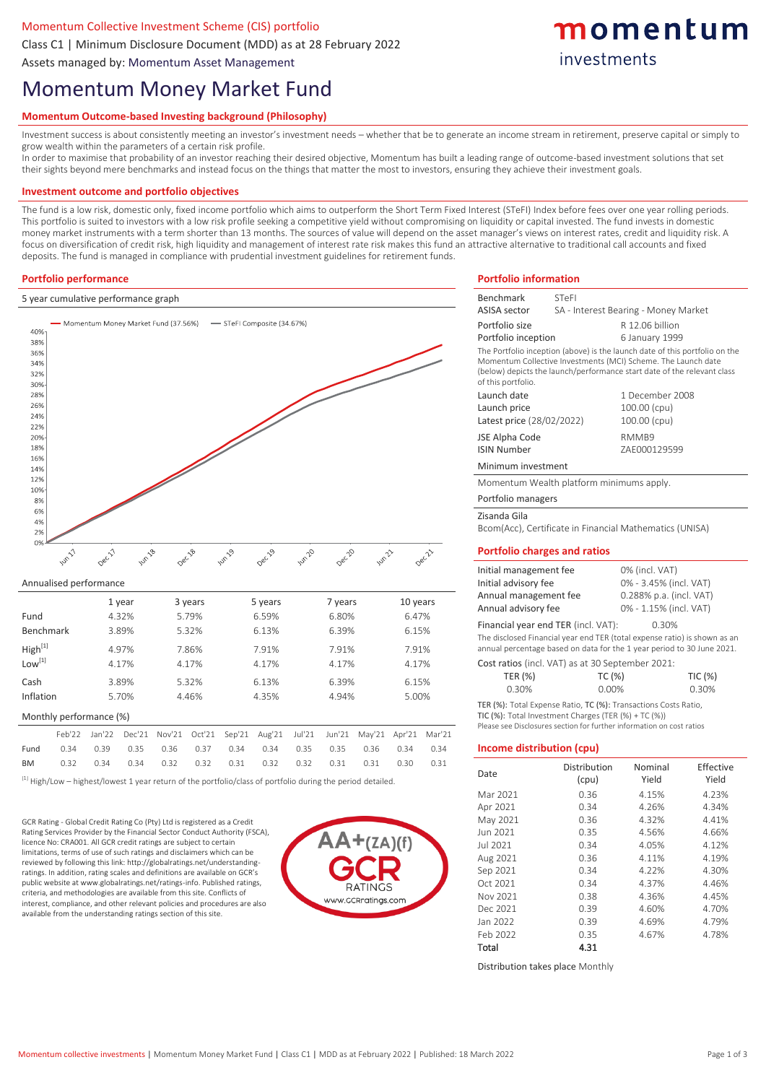## Momentum Collective Investment Scheme (CIS) portfolio

Class C1 | Minimum Disclosure Document (MDD) as at 28 February 2022

Assets managed by: Momentum Asset Management

# Momentum Money Market Fund

## **Momentum Outcome-based Investing background (Philosophy)**

Investment success is about consistently meeting an investor's investment needs – whether that be to generate an income stream in retirement, preserve capital or simply to grow wealth within the parameters of a certain risk profile.

In order to maximise that probability of an investor reaching their desired objective, Momentum has built a leading range of outcome-based investment solutions that set their sights beyond mere benchmarks and instead focus on the things that matter the most to investors, ensuring they achieve their investment goals.

#### **Investment outcome and portfolio objectives**

The fund is a low risk, domestic only, fixed income portfolio which aims to outperform the Short Term Fixed Interest (STeFI) Index before fees over one year rolling periods. This portfolio is suited to investors with a low risk profile seeking a competitive yield without compromising on liquidity or capital invested. The fund invests in domestic money market instruments with a term shorter than 13 months. The sources of value will depend on the asset manager's views on interest rates, credit and liquidity risk. A focus on diversification of credit risk, high liquidity and management of interest rate risk makes this fund an attractive alternative to traditional call accounts and fixed deposits. The fund is managed in compliance with prudential investment guidelines for retirement funds.

#### **Portfolio performance**

#### 5 year cumulative performance graph



#### Annualised performance

|                         |        |        | 1 year |        | 3 years | 5 years |        |        | 7 years |        | 10 years |        |
|-------------------------|--------|--------|--------|--------|---------|---------|--------|--------|---------|--------|----------|--------|
| Fund                    |        |        | 4.32%  |        | 5.79%   | 6.59%   |        |        | 6.80%   |        | 6.47%    |        |
| Benchmark               |        |        | 3.89%  |        | 5.32%   |         | 6.13%  | 6.39%  |         |        | 6.15%    |        |
| High <sup>[1]</sup>     | 4.97%  |        |        | 7.86%  | 7.91%   |         |        | 7.91%  |         | 7.91%  |          |        |
| Low <sup>[1]</sup>      |        |        | 4.17%  |        | 4.17%   |         | 4.17%  | 4.17%  |         |        | 4.17%    |        |
| Cash                    |        |        | 3.89%  | 5.32%  |         | 6.13%   |        |        | 6.39%   |        | 6.15%    |        |
| Inflation               |        |        | 5.70%  |        | 4.46%   |         | 4.35%  |        | 4.94%   |        | 5.00%    |        |
| Monthly performance (%) |        |        |        |        |         |         |        |        |         |        |          |        |
|                         | Feb'22 | Jan'22 | Dec'21 | Nov'21 | Oct'21  | Sep'21  | Aug'21 | Jul'21 | Jun'21  | May'21 | Apr'21   | Mar'21 |
| Fund                    | 0.34   | 0.39   | 0.35   | 0.36   | 0.37    | 0.34    | 0.34   | 0.35   | 0.35    | 0.36   | 0.34     | 0.34   |
| <b>BM</b>               | 0.32   | 0.34   | 0.34   | 0.32   | 0.32    | 0.31    | 0.32   | 0.32   | 0.31    | 0.31   | 0.30     | 0.31   |

 $^{[1]}$  High/Low – highest/lowest 1 year return of the portfolio/class of portfolio during the period detailed.

GCR Rating - Global Credit Rating Co (Pty) Ltd is registered as a Credit Rating Services Provider by the Financial Sector Conduct Authority (FSCA), licence No: CRA001. All GCR credit ratings are subject to certain limitations, terms of use of such ratings and disclaimers which can be reviewed by following this link: http://globalratings.net/understandingratings. In addition, rating scales and definitions are available on GCR's public website at www.globalratings.net/ratings-info. Published ratings, criteria, and methodologies are available from this site. Conflicts of interest, compliance, and other relevant policies and procedures are also available from the understanding ratings section of this site.



## **Portfolio information** Benchmark STeFI

ASISA sector SA - Interest Bearing - Money Market

momentum

investments

| Portfolio size                                                                                                                                                                                                                                |                                                  | R 12.06 billion         |           |  |  |  |  |  |
|-----------------------------------------------------------------------------------------------------------------------------------------------------------------------------------------------------------------------------------------------|--------------------------------------------------|-------------------------|-----------|--|--|--|--|--|
| Portfolio inception                                                                                                                                                                                                                           |                                                  | 6 January 1999          |           |  |  |  |  |  |
| The Portfolio inception (above) is the launch date of this portfolio on the<br>Momentum Collective Investments (MCI) Scheme. The Launch date<br>(below) depicts the launch/performance start date of the relevant class<br>of this portfolio. |                                                  |                         |           |  |  |  |  |  |
| Launch date                                                                                                                                                                                                                                   |                                                  | 1 December 2008         |           |  |  |  |  |  |
| Launch price                                                                                                                                                                                                                                  |                                                  | 100.00 (cpu)            |           |  |  |  |  |  |
| Latest price (28/02/2022)                                                                                                                                                                                                                     |                                                  | 100.00 (cpu)            |           |  |  |  |  |  |
| JSE Alpha Code                                                                                                                                                                                                                                |                                                  | RMMB9                   |           |  |  |  |  |  |
| <b>ISIN Number</b>                                                                                                                                                                                                                            |                                                  | ZAE000129599            |           |  |  |  |  |  |
|                                                                                                                                                                                                                                               |                                                  |                         |           |  |  |  |  |  |
| Minimum investment                                                                                                                                                                                                                            |                                                  |                         |           |  |  |  |  |  |
| Momentum Wealth platform minimums apply.                                                                                                                                                                                                      |                                                  |                         |           |  |  |  |  |  |
| Portfolio managers                                                                                                                                                                                                                            |                                                  |                         |           |  |  |  |  |  |
| Zisanda Gila<br>Bcom(Acc), Certificate in Financial Mathematics (UNISA)                                                                                                                                                                       |                                                  |                         |           |  |  |  |  |  |
|                                                                                                                                                                                                                                               |                                                  |                         |           |  |  |  |  |  |
| <b>Portfolio charges and ratios</b>                                                                                                                                                                                                           |                                                  |                         |           |  |  |  |  |  |
| Initial management fee                                                                                                                                                                                                                        | 0% (incl. VAT)                                   |                         |           |  |  |  |  |  |
| Initial advisory fee                                                                                                                                                                                                                          |                                                  | 0% - 3.45% (incl. VAT)  |           |  |  |  |  |  |
| Annual management fee                                                                                                                                                                                                                         |                                                  | 0.288% p.a. (incl. VAT) |           |  |  |  |  |  |
|                                                                                                                                                                                                                                               | Annual advisory fee<br>0% - 1.15% (incl. VAT)    |                         |           |  |  |  |  |  |
| Financial year end TER (incl. VAT):<br>0.30%                                                                                                                                                                                                  |                                                  |                         |           |  |  |  |  |  |
| The disclosed Financial year end TER (total expense ratio) is shown as an                                                                                                                                                                     |                                                  |                         |           |  |  |  |  |  |
| annual percentage based on data for the 1 year period to 30 June 2021.                                                                                                                                                                        |                                                  |                         |           |  |  |  |  |  |
|                                                                                                                                                                                                                                               | Cost ratios (incl. VAT) as at 30 September 2021: |                         |           |  |  |  |  |  |
| TER (%)                                                                                                                                                                                                                                       | TC (%)                                           |                         | TIC (%)   |  |  |  |  |  |
| 0.30%                                                                                                                                                                                                                                         | 0.00%                                            |                         | 0.30%     |  |  |  |  |  |
| TER (%): Total Expense Ratio, TC (%): Transactions Costs Ratio,                                                                                                                                                                               |                                                  |                         |           |  |  |  |  |  |
| TIC (%): Total Investment Charges (TER (%) + TC (%))                                                                                                                                                                                          |                                                  |                         |           |  |  |  |  |  |
| Please see Disclosures section for further information on cost ratios                                                                                                                                                                         |                                                  |                         |           |  |  |  |  |  |
| Income distribution (cpu)                                                                                                                                                                                                                     |                                                  |                         |           |  |  |  |  |  |
|                                                                                                                                                                                                                                               |                                                  |                         |           |  |  |  |  |  |
| Date                                                                                                                                                                                                                                          | Distribution                                     | Nominal                 | Effective |  |  |  |  |  |
|                                                                                                                                                                                                                                               | (cpu)                                            | Yield                   | Yield     |  |  |  |  |  |
| Mar 2021                                                                                                                                                                                                                                      | 0.36                                             | 4.15%                   | 4.23%     |  |  |  |  |  |
| Apr 2021                                                                                                                                                                                                                                      | 0.34                                             | 4.26%                   | 4.34%     |  |  |  |  |  |
| May 2021                                                                                                                                                                                                                                      | 0.36                                             | 4.32%                   | 4.41%     |  |  |  |  |  |
| Jun 2021                                                                                                                                                                                                                                      | 0.35                                             | 4.56%                   | 4.66%     |  |  |  |  |  |
| Jul 2021                                                                                                                                                                                                                                      | 0.34                                             | 4.05%                   | 4.12%     |  |  |  |  |  |
| Aug 2021                                                                                                                                                                                                                                      | 0.36                                             | 4.11%                   | 4.19%     |  |  |  |  |  |
| Sep 2021                                                                                                                                                                                                                                      | 0.34                                             | 4.22%                   | 4.30%     |  |  |  |  |  |
| Oct 2021                                                                                                                                                                                                                                      | 0.34                                             | 4.37%                   | 4.46%     |  |  |  |  |  |
| Nov 2021                                                                                                                                                                                                                                      | 0.38                                             | 4.36%                   | 4.45%     |  |  |  |  |  |
| Dec 2021                                                                                                                                                                                                                                      | 0.39                                             | 4.60%<br>4.70%          |           |  |  |  |  |  |
| Jan 2022                                                                                                                                                                                                                                      | 0.39                                             | 4.69%                   | 4.79%     |  |  |  |  |  |
| Feb 2022                                                                                                                                                                                                                                      | 0.35                                             | 4.67%                   | 4.78%     |  |  |  |  |  |
| Total                                                                                                                                                                                                                                         | 4.31                                             |                         |           |  |  |  |  |  |

Distribution takes place Monthly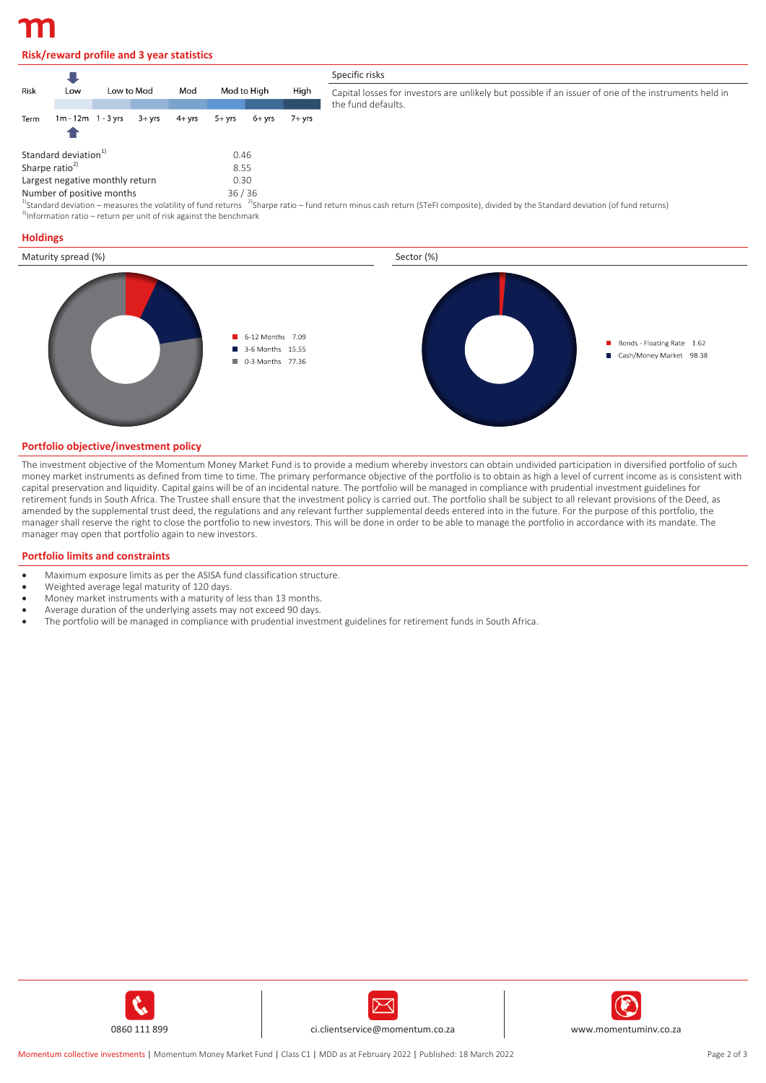## **Risk/reward profile and 3 year statistics**

|                                         |                                  |            |           |           |          |             |        | Specific risks                                                                                                                                                                                  |  |  |  |  |
|-----------------------------------------|----------------------------------|------------|-----------|-----------|----------|-------------|--------|-------------------------------------------------------------------------------------------------------------------------------------------------------------------------------------------------|--|--|--|--|
| Risk                                    | Low                              | Low to Mod |           | Mod       |          | Mod to High |        | Capital losses for investors are unlikely but possible if an issuer of one of the instruments held in<br>the fund defaults.                                                                     |  |  |  |  |
| Term                                    | $1m - 12m - 1 - 3$ yrs           |            | $3 + vrs$ | $4 + vrs$ | $5+$ vrs | 6+ vrs      | 7+ vrs |                                                                                                                                                                                                 |  |  |  |  |
|                                         | Standard deviation <sup>1)</sup> |            |           |           | 0.46     |             |        |                                                                                                                                                                                                 |  |  |  |  |
| Sharpe ratio <sup>2)</sup><br>8.55      |                                  |            |           |           |          |             |        |                                                                                                                                                                                                 |  |  |  |  |
| Largest negative monthly return<br>0.30 |                                  |            |           |           |          |             |        |                                                                                                                                                                                                 |  |  |  |  |
| 36/36<br>Number of positive months      |                                  |            |           |           |          |             |        |                                                                                                                                                                                                 |  |  |  |  |
|                                         |                                  |            |           |           |          |             |        | $^{10}$ Standard deviation – measures the volatility of fund returns $^{-2}$ Sharpe ratio – fund return minus cash return (STeEL composite) divided by the Standard deviation (of fund returns) |  |  |  |  |

sh return (STeFI composite), divided by the Standard deviation (of fund returns)  $3$ Information ratio – return per unit of risk against the benchmark

#### **Holdings**



#### **Portfolio objective/investment policy**

The investment objective of the Momentum Money Market Fund is to provide a medium whereby investors can obtain undivided participation in diversified portfolio of such money market instruments as defined from time to time. The primary performance objective of the portfolio is to obtain as high a level of current income as is consistent with capital preservation and liquidity. Capital gains will be of an incidental nature. The portfolio will be managed in compliance with prudential investment guidelines for retirement funds in South Africa. The Trustee shall ensure that the investment policy is carried out. The portfolio shall be subject to all relevant provisions of the Deed, as amended by the supplemental trust deed, the regulations and any relevant further supplemental deeds entered into in the future. For the purpose of this portfolio, the manager shall reserve the right to close the portfolio to new investors. This will be done in order to be able to manage the portfolio in accordance with its mandate. The manager may open that portfolio again to new investors.

#### **Portfolio limits and constraints**

- Maximum exposure limits as per the ASISA fund classification structure.
- Weighted average legal maturity of 120 days.
- Money market instruments with a maturity of less than 13 months.
- Average duration of the underlying assets may not exceed 90 days.
- The portfolio will be managed in compliance with prudential investment guidelines for retirement funds in South Africa.